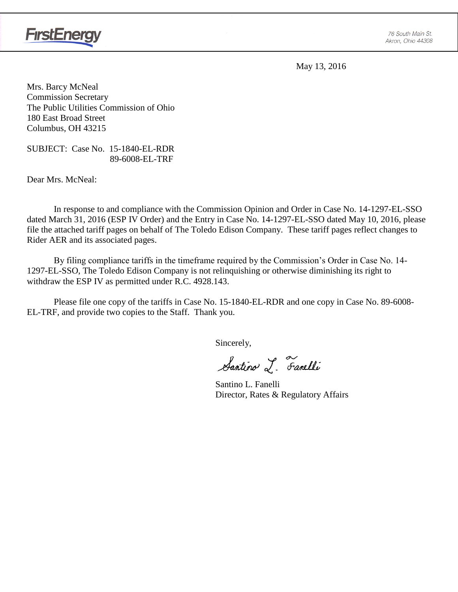

May 13, 2016

Mrs. Barcy McNeal Commission Secretary The Public Utilities Commission of Ohio 180 East Broad Street Columbus, OH 43215

SUBJECT: Case No. 15-1840-EL-RDR 89-6008-EL-TRF

Dear Mrs. McNeal:

In response to and compliance with the Commission Opinion and Order in Case No. 14-1297-EL-SSO dated March 31, 2016 (ESP IV Order) and the Entry in Case No. 14-1297-EL-SSO dated May 10, 2016, please file the attached tariff pages on behalf of The Toledo Edison Company. These tariff pages reflect changes to Rider AER and its associated pages.

By filing compliance tariffs in the timeframe required by the Commission's Order in Case No. 14- 1297-EL-SSO, The Toledo Edison Company is not relinquishing or otherwise diminishing its right to withdraw the ESP IV as permitted under R.C. 4928.143.

Please file one copy of the tariffs in Case No. 15-1840-EL-RDR and one copy in Case No. 89-6008- EL-TRF, and provide two copies to the Staff. Thank you.

Sincerely,

Santino L. Farelli

Santino L. Fanelli Director, Rates & Regulatory Affairs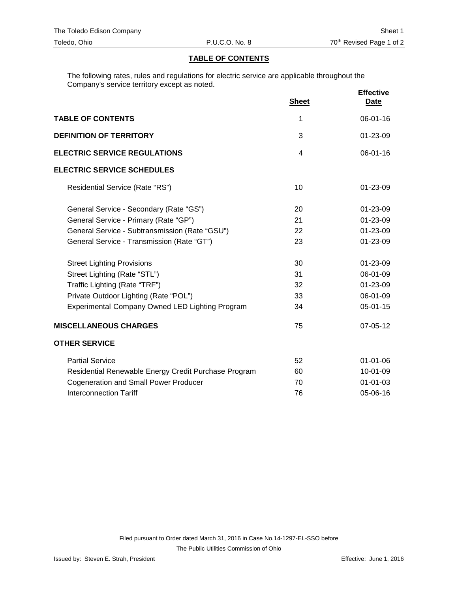## **TABLE OF CONTENTS**

The following rates, rules and regulations for electric service are applicable throughout the Company's service territory except as noted.

|                                                        | <b>Sheet</b> | <b>Effective</b><br>Date |
|--------------------------------------------------------|--------------|--------------------------|
| <b>TABLE OF CONTENTS</b>                               | 1            | 06-01-16                 |
| <b>DEFINITION OF TERRITORY</b>                         | 3            | 01-23-09                 |
| <b>ELECTRIC SERVICE REGULATIONS</b>                    | 4            | 06-01-16                 |
| <b>ELECTRIC SERVICE SCHEDULES</b>                      |              |                          |
| Residential Service (Rate "RS")                        | 10           | 01-23-09                 |
| General Service - Secondary (Rate "GS")                | 20           | 01-23-09                 |
| General Service - Primary (Rate "GP")                  | 21           | 01-23-09                 |
| General Service - Subtransmission (Rate "GSU")         | 22           | 01-23-09                 |
| General Service - Transmission (Rate "GT")             | 23           | 01-23-09                 |
| <b>Street Lighting Provisions</b>                      | 30           | 01-23-09                 |
| Street Lighting (Rate "STL")                           | 31           | 06-01-09                 |
| Traffic Lighting (Rate "TRF")                          | 32           | 01-23-09                 |
| Private Outdoor Lighting (Rate "POL")                  | 33           | 06-01-09                 |
| <b>Experimental Company Owned LED Lighting Program</b> | 34           | 05-01-15                 |
| <b>MISCELLANEOUS CHARGES</b>                           | 75           | 07-05-12                 |
| <b>OTHER SERVICE</b>                                   |              |                          |
| <b>Partial Service</b>                                 | 52           | $01 - 01 - 06$           |
| Residential Renewable Energy Credit Purchase Program   | 60           | 10-01-09                 |
| <b>Cogeneration and Small Power Producer</b>           | 70           | 01-01-03                 |
| <b>Interconnection Tariff</b>                          | 76           | 05-06-16                 |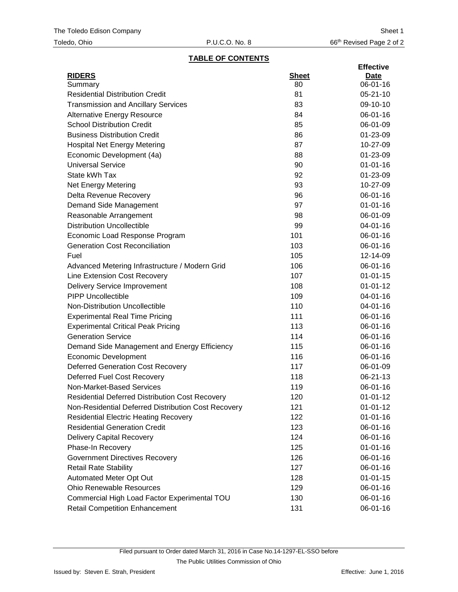# **TABLE OF CONTENTS**

|                                                        |              | <b>Effective</b> |
|--------------------------------------------------------|--------------|------------------|
| <b>RIDERS</b>                                          | <b>Sheet</b> | <b>Date</b>      |
| Summary                                                | 80           | 06-01-16         |
| <b>Residential Distribution Credit</b>                 | 81           | $05 - 21 - 10$   |
| <b>Transmission and Ancillary Services</b>             | 83           | 09-10-10         |
| <b>Alternative Energy Resource</b>                     | 84           | 06-01-16         |
| <b>School Distribution Credit</b>                      | 85           | 06-01-09         |
| <b>Business Distribution Credit</b>                    | 86           | 01-23-09         |
| <b>Hospital Net Energy Metering</b>                    | 87           | 10-27-09         |
| Economic Development (4a)                              | 88           | 01-23-09         |
| <b>Universal Service</b>                               | 90           | $01 - 01 - 16$   |
| State kWh Tax                                          | 92           | 01-23-09         |
| Net Energy Metering                                    | 93           | 10-27-09         |
| Delta Revenue Recovery                                 | 96           | 06-01-16         |
| Demand Side Management                                 | 97           | $01 - 01 - 16$   |
| Reasonable Arrangement                                 | 98           | 06-01-09         |
| <b>Distribution Uncollectible</b>                      | 99           | 04-01-16         |
| Economic Load Response Program                         | 101          | 06-01-16         |
| <b>Generation Cost Reconciliation</b>                  | 103          | 06-01-16         |
| Fuel                                                   | 105          | 12-14-09         |
| Advanced Metering Infrastructure / Modern Grid         | 106          | 06-01-16         |
| Line Extension Cost Recovery                           | 107          | $01 - 01 - 15$   |
| <b>Delivery Service Improvement</b>                    | 108          | $01 - 01 - 12$   |
| <b>PIPP Uncollectible</b>                              | 109          | 04-01-16         |
| Non-Distribution Uncollectible                         | 110          | 04-01-16         |
| <b>Experimental Real Time Pricing</b>                  | 111          | 06-01-16         |
| <b>Experimental Critical Peak Pricing</b>              | 113          | 06-01-16         |
| <b>Generation Service</b>                              | 114          | 06-01-16         |
| Demand Side Management and Energy Efficiency           | 115          | 06-01-16         |
| <b>Economic Development</b>                            | 116          | 06-01-16         |
| <b>Deferred Generation Cost Recovery</b>               | 117          | 06-01-09         |
| <b>Deferred Fuel Cost Recovery</b>                     | 118          | 06-21-13         |
| Non-Market-Based Services                              | 119          | 06-01-16         |
| <b>Residential Deferred Distribution Cost Recovery</b> | 120          | $01 - 01 - 12$   |
| Non-Residential Deferred Distribution Cost Recovery    | 121          | $01 - 01 - 12$   |
| <b>Residential Electric Heating Recovery</b>           | 122          | $01 - 01 - 16$   |
| <b>Residential Generation Credit</b>                   | 123          | 06-01-16         |
| <b>Delivery Capital Recovery</b>                       | 124          | 06-01-16         |
| Phase-In Recovery                                      | 125          | $01 - 01 - 16$   |
| <b>Government Directives Recovery</b>                  | 126          | 06-01-16         |
| <b>Retail Rate Stability</b>                           | 127          | 06-01-16         |
| Automated Meter Opt Out                                | 128          | $01 - 01 - 15$   |
| <b>Ohio Renewable Resources</b>                        | 129          | 06-01-16         |
| Commercial High Load Factor Experimental TOU           | 130          | 06-01-16         |
| <b>Retail Competition Enhancement</b>                  | 131          | 06-01-16         |
|                                                        |              |                  |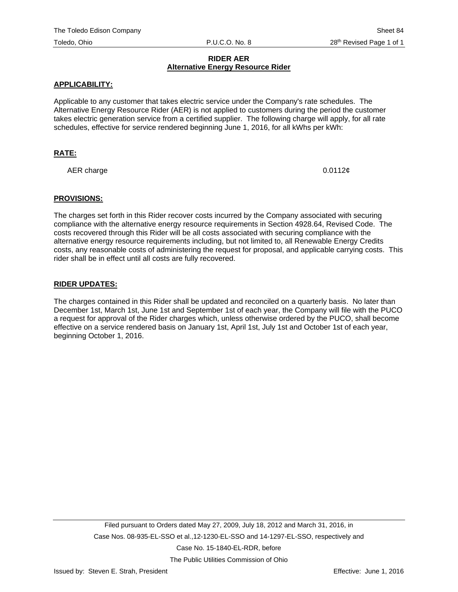#### **RIDER AER Alternative Energy Resource Rider**

### **APPLICABILITY:**

Applicable to any customer that takes electric service under the Company's rate schedules. The Alternative Energy Resource Rider (AER) is not applied to customers during the period the customer takes electric generation service from a certified supplier. The following charge will apply, for all rate schedules, effective for service rendered beginning June 1, 2016, for all kWhs per kWh:

## **RATE:**

AER charge  $0.0112\epsilon$ 

#### **PROVISIONS:**

The charges set forth in this Rider recover costs incurred by the Company associated with securing compliance with the alternative energy resource requirements in Section 4928.64, Revised Code. The costs recovered through this Rider will be all costs associated with securing compliance with the alternative energy resource requirements including, but not limited to, all Renewable Energy Credits costs, any reasonable costs of administering the request for proposal, and applicable carrying costs. This rider shall be in effect until all costs are fully recovered.

#### **RIDER UPDATES:**

The charges contained in this Rider shall be updated and reconciled on a quarterly basis. No later than December 1st, March 1st, June 1st and September 1st of each year, the Company will file with the PUCO a request for approval of the Rider charges which, unless otherwise ordered by the PUCO, shall become effective on a service rendered basis on January 1st, April 1st, July 1st and October 1st of each year, beginning October 1, 2016.

The Public Utilities Commission of Ohio